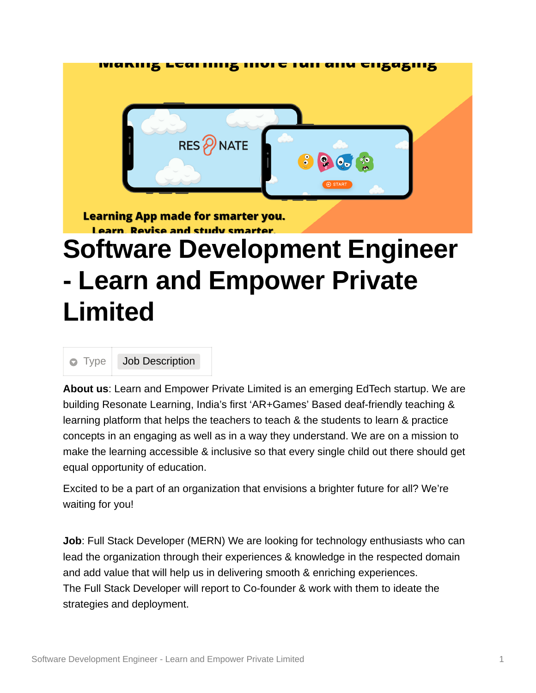

**Learning App made for smarter you.** Learn Revise and study smarts

## **Software Development Engineer - Learn and Empower Private Limited**

**Type** Job Description

**About us**: Learn and Empower Private Limited is an emerging EdTech startup. We are building Resonate Learning, India's first 'AR+Games' Based deaf-friendly teaching & learning platform that helps the teachers to teach & the students to learn & practice concepts in an engaging as well as in a way they understand. We are on a mission to make the learning accessible & inclusive so that every single child out there should get equal opportunity of education.

Excited to be a part of an organization that envisions a brighter future for all? We're waiting for you!

**Job**: Full Stack Developer (MERN) We are looking for technology enthusiasts who can lead the organization through their experiences & knowledge in the respected domain and add value that will help us in delivering smooth & enriching experiences. The Full Stack Developer will report to Co-founder & work with them to ideate the strategies and deployment.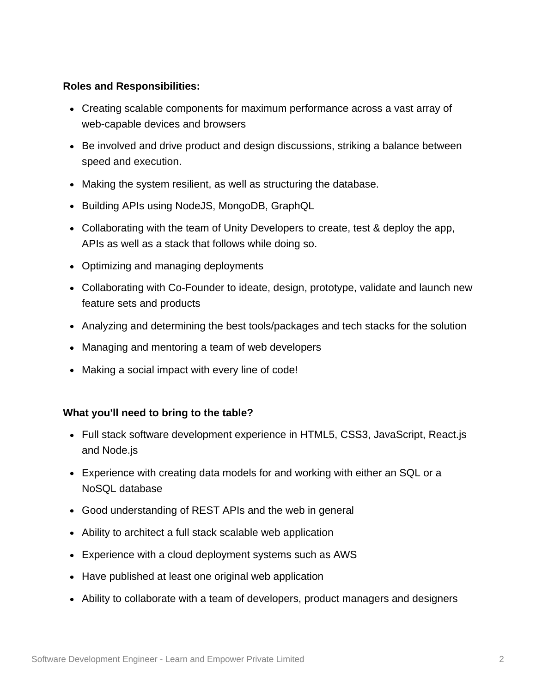## **Roles and Responsibilities:**

- Creating scalable components for maximum performance across a vast array of web-capable devices and browsers
- Be involved and drive product and design discussions, striking a balance between speed and execution.
- Making the system resilient, as well as structuring the database.
- Building APIs using NodeJS, MongoDB, GraphQL
- Collaborating with the team of Unity Developers to create, test & deploy the app, APIs as well as a stack that follows while doing so.
- Optimizing and managing deployments
- Collaborating with Co-Founder to ideate, design, prototype, validate and launch new feature sets and products
- Analyzing and determining the best tools/packages and tech stacks for the solution
- Managing and mentoring a team of web developers
- Making a social impact with every line of code!

## **What you'll need to bring to the table?**

- Full stack software development experience in HTML5, CSS3, JavaScript, React.js and Node.js
- Experience with creating data models for and working with either an SQL or a NoSQL database
- Good understanding of REST APIs and the web in general
- Ability to architect a full stack scalable web application
- Experience with a cloud deployment systems such as AWS
- Have published at least one original web application
- Ability to collaborate with a team of developers, product managers and designers